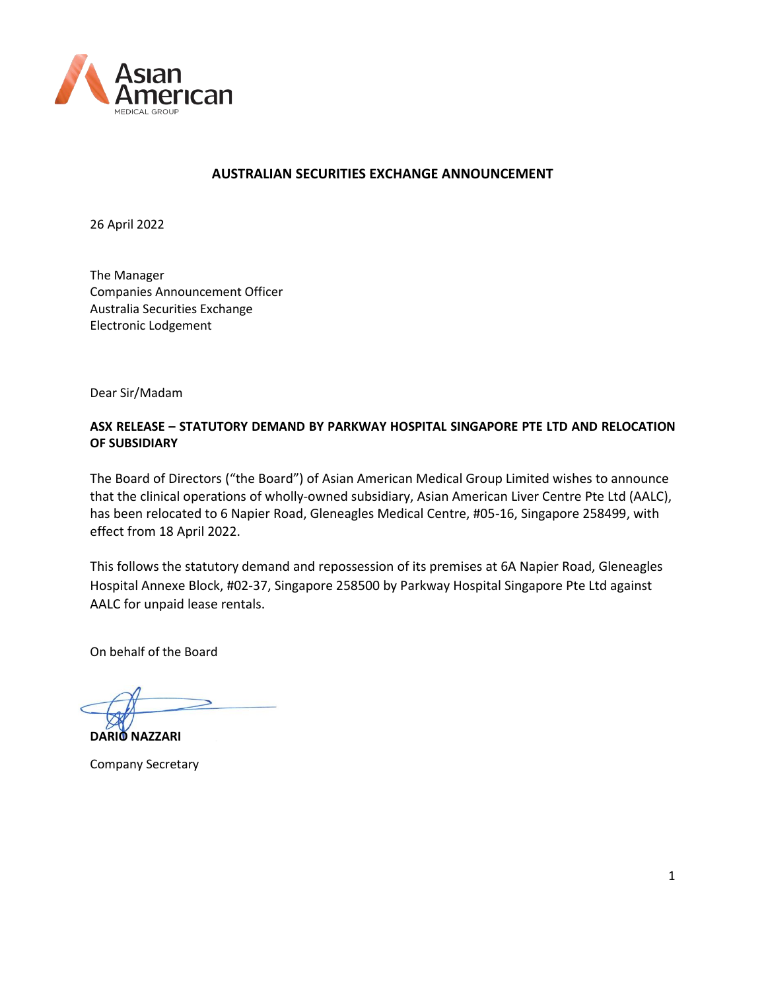

### **AUSTRALIAN SECURITIES EXCHANGE ANNOUNCEMENT**

26 April 2022

The Manager Companies Announcement Officer Australia Securities Exchange Electronic Lodgement

Dear Sir/Madam

## **ASX RELEASE – STATUTORY DEMAND BY PARKWAY HOSPITAL SINGAPORE PTE LTD AND RELOCATION OF SUBSIDIARY**

The Board of Directors ("the Board") of Asian American Medical Group Limited wishes to announce that the clinical operations of wholly-owned subsidiary, Asian American Liver Centre Pte Ltd (AALC), has been relocated to 6 Napier Road, Gleneagles Medical Centre, #05-16, Singapore 258499, with effect from 18 April 2022.

This follows the statutory demand and repossession of its premises at 6A Napier Road, Gleneagles Hospital Annexe Block, #02-37, Singapore 258500 by Parkway Hospital Singapore Pte Ltd against AALC for unpaid lease rentals.

On behalf of the Board

**DARIO NAZZARI**

Company Secretary